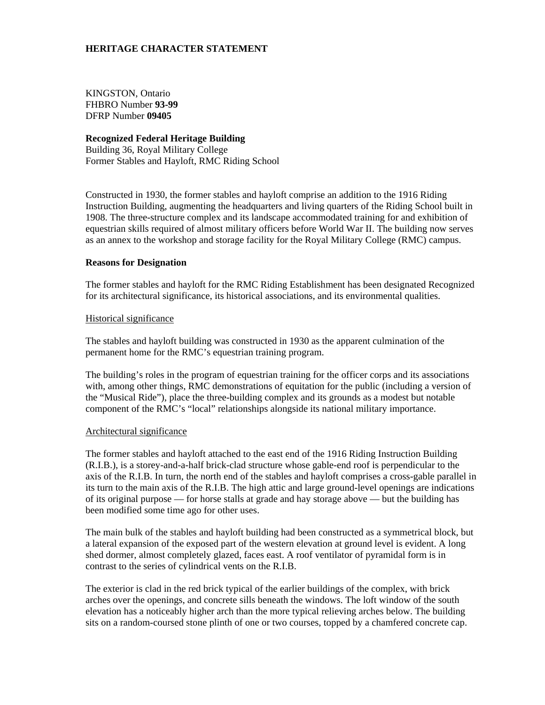# **HERITAGE CHARACTER STATEMENT**

KINGSTON, Ontario FHBRO Number **93-99** DFRP Number **09405**

## **Recognized Federal Heritage Building**

Building 36, Royal Military College Former Stables and Hayloft, RMC Riding School

Constructed in 1930, the former stables and hayloft comprise an addition to the 1916 Riding Instruction Building, augmenting the headquarters and living quarters of the Riding School built in 1908. The three-structure complex and its landscape accommodated training for and exhibition of equestrian skills required of almost military officers before World War II. The building now serves as an annex to the workshop and storage facility for the Royal Military College (RMC) campus.

### **Reasons for Designation**

The former stables and hayloft for the RMC Riding Establishment has been designated Recognized for its architectural significance, its historical associations, and its environmental qualities.

## Historical significance

The stables and hayloft building was constructed in 1930 as the apparent culmination of the permanent home for the RMC's equestrian training program.

The building's roles in the program of equestrian training for the officer corps and its associations with, among other things, RMC demonstrations of equitation for the public (including a version of the "Musical Ride"), place the three-building complex and its grounds as a modest but notable component of the RMC's "local" relationships alongside its national military importance.

### Architectural significance

The former stables and hayloft attached to the east end of the 1916 Riding Instruction Building (R.I.B.), is a storey-and-a-half brick-clad structure whose gable-end roof is perpendicular to the axis of the R.I.B. In turn, the north end of the stables and hayloft comprises a cross-gable parallel in its turn to the main axis of the R.I.B. The high attic and large ground-level openings are indications of its original purpose — for horse stalls at grade and hay storage above — but the building has been modified some time ago for other uses.

The main bulk of the stables and hayloft building had been constructed as a symmetrical block, but a lateral expansion of the exposed part of the western elevation at ground level is evident. A long shed dormer, almost completely glazed, faces east. A roof ventilator of pyramidal form is in contrast to the series of cylindrical vents on the R.I.B.

The exterior is clad in the red brick typical of the earlier buildings of the complex, with brick arches over the openings, and concrete sills beneath the windows. The loft window of the south elevation has a noticeably higher arch than the more typical relieving arches below. The building sits on a random-coursed stone plinth of one or two courses, topped by a chamfered concrete cap.